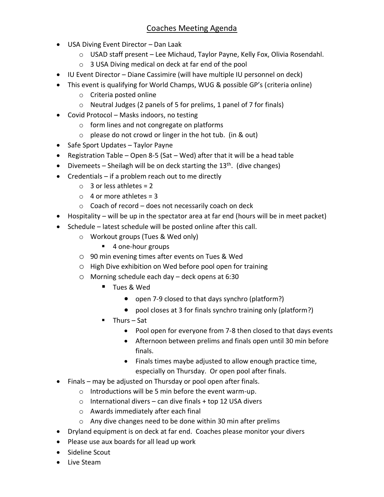## Coaches Meeting Agenda

- USA Diving Event Director Dan Laak
	- o USAD staff present Lee Michaud, Taylor Payne, Kelly Fox, Olivia Rosendahl.
	- o 3 USA Diving medical on deck at far end of the pool
- IU Event Director Diane Cassimire (will have multiple IU personnel on deck)
- This event is qualifying for World Champs, WUG & possible GP's (criteria online)
	- o Criteria posted online
	- o Neutral Judges (2 panels of 5 for prelims, 1 panel of 7 for finals)
- Covid Protocol Masks indoors, no testing
	- o form lines and not congregate on platforms
	- $\circ$  please do not crowd or linger in the hot tub. (in & out)
- Safe Sport Updates Taylor Payne
- Registration Table Open 8-5 (Sat Wed) after that it will be a head table
- Divemeets Sheilagh will be on deck starting the  $13<sup>th</sup>$ . (dive changes)
- Credentials if a problem reach out to me directly
	- $\circ$  3 or less athletes = 2
	- $\circ$  4 or more athletes = 3
	- o Coach of record does not necessarily coach on deck
- Hospitality will be up in the spectator area at far end (hours will be in meet packet)
- Schedule latest schedule will be posted online after this call.
	- o Workout groups (Tues & Wed only)
		- 4 one-hour groups
	- o 90 min evening times after events on Tues & Wed
	- o High Dive exhibition on Wed before pool open for training
	- o Morning schedule each day deck opens at 6:30
		- Tues & Wed
			- open 7-9 closed to that days synchro (platform?)
			- pool closes at 3 for finals synchro training only (platform?)
		- Thurs Sat
			- Pool open for everyone from 7-8 then closed to that days events
			- Afternoon between prelims and finals open until 30 min before finals.
			- Finals times maybe adjusted to allow enough practice time, especially on Thursday. Or open pool after finals.
- Finals may be adjusted on Thursday or pool open after finals.
	- o Introductions will be 5 min before the event warm-up.
	- $\circ$  International divers can dive finals + top 12 USA divers
	- o Awards immediately after each final
	- o Any dive changes need to be done within 30 min after prelims
- Dryland equipment is on deck at far end. Coaches please monitor your divers
- Please use aux boards for all lead up work
- Sideline Scout
- Live Steam